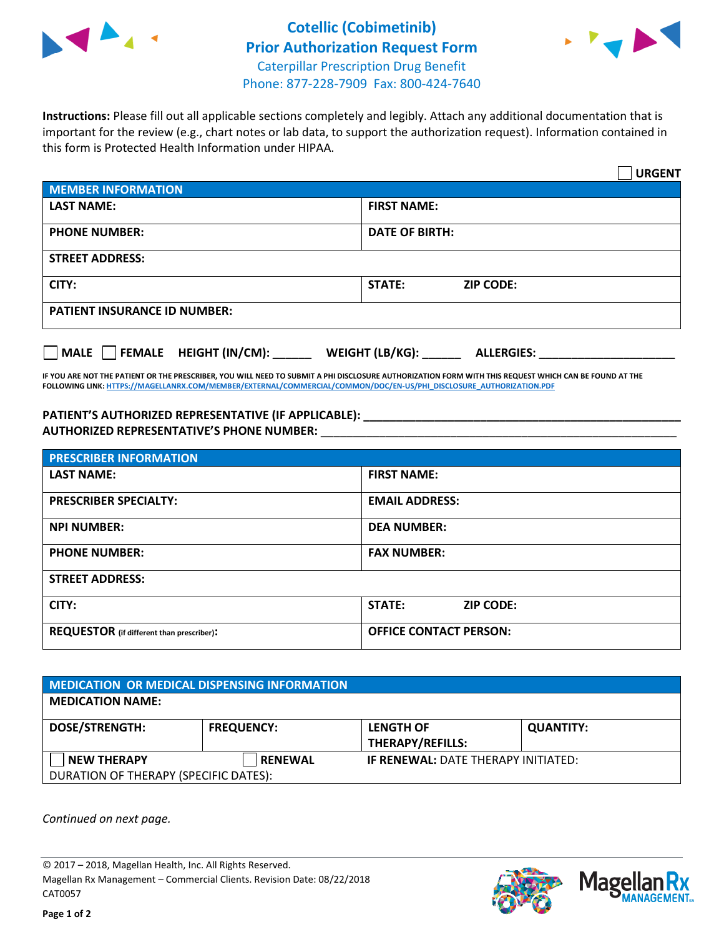



**Instructions:** Please fill out all applicable sections completely and legibly. Attach any additional documentation that is important for the review (e.g., chart notes or lab data, to support the authorization request). Information contained in this form is Protected Health Information under HIPAA.

|                                                | <b>URGENT</b>                        |  |  |  |
|------------------------------------------------|--------------------------------------|--|--|--|
| <b>MEMBER INFORMATION</b>                      |                                      |  |  |  |
| <b>LAST NAME:</b>                              | <b>FIRST NAME:</b>                   |  |  |  |
| <b>PHONE NUMBER:</b>                           | <b>DATE OF BIRTH:</b>                |  |  |  |
| <b>STREET ADDRESS:</b>                         |                                      |  |  |  |
| CITY:                                          | <b>STATE:</b><br><b>ZIP CODE:</b>    |  |  |  |
| <b>PATIENT INSURANCE ID NUMBER:</b>            |                                      |  |  |  |
| $\Box$ FEMALE HEIGHT (IN/CM): _<br><b>MALE</b> | WEIGHT (LB/KG):<br><b>ALLERGIES:</b> |  |  |  |

**IF YOU ARE NOT THE PATIENT OR THE PRESCRIBER, YOU WILL NEED TO SUBMIT A PHI DISCLOSURE AUTHORIZATION FORM WITH THIS REQUEST WHICH CAN BE FOUND AT THE FOLLOWING LINK[: HTTPS://MAGELLANRX.COM/MEMBER/EXTERNAL/COMMERCIAL/COMMON/DOC/EN-US/PHI\\_DISCLOSURE\\_AUTHORIZATION.PDF](https://magellanrx.com/member/external/commercial/common/doc/en-us/PHI_Disclosure_Authorization.pdf)**

**PATIENT'S AUTHORIZED REPRESENTATIVE (IF APPLICABLE): \_\_\_\_\_\_\_\_\_\_\_\_\_\_\_\_\_\_\_\_\_\_\_\_\_\_\_\_\_\_\_\_\_\_\_\_\_\_\_\_\_\_\_\_\_\_\_\_\_ AUTHORIZED REPRESENTATIVE'S PHONE NUMBER:** \_\_\_\_\_\_\_\_\_\_\_\_\_\_\_\_\_\_\_\_\_\_\_\_\_\_\_\_\_\_\_\_\_\_\_\_\_\_\_\_\_\_\_\_\_\_\_\_\_\_\_\_\_\_\_

| <b>PRESCRIBER INFORMATION</b>             |                               |  |  |  |
|-------------------------------------------|-------------------------------|--|--|--|
| <b>LAST NAME:</b>                         | <b>FIRST NAME:</b>            |  |  |  |
| <b>PRESCRIBER SPECIALTY:</b>              | <b>EMAIL ADDRESS:</b>         |  |  |  |
| <b>NPI NUMBER:</b>                        | <b>DEA NUMBER:</b>            |  |  |  |
| <b>PHONE NUMBER:</b>                      | <b>FAX NUMBER:</b>            |  |  |  |
| <b>STREET ADDRESS:</b>                    |                               |  |  |  |
| CITY:                                     | STATE:<br><b>ZIP CODE:</b>    |  |  |  |
| REQUESTOR (if different than prescriber): | <b>OFFICE CONTACT PERSON:</b> |  |  |  |

| <b>MEDICATION OR MEDICAL DISPENSING INFORMATION</b> |                   |                                            |                  |  |  |
|-----------------------------------------------------|-------------------|--------------------------------------------|------------------|--|--|
| <b>MEDICATION NAME:</b>                             |                   |                                            |                  |  |  |
| <b>DOSE/STRENGTH:</b>                               | <b>FREQUENCY:</b> | <b>LENGTH OF</b>                           | <b>QUANTITY:</b> |  |  |
|                                                     |                   | <b>THERAPY/REFILLS:</b>                    |                  |  |  |
| <b>NEW THERAPY</b>                                  | <b>RENEWAL</b>    | <b>IF RENEWAL: DATE THERAPY INITIATED:</b> |                  |  |  |
| DURATION OF THERAPY (SPECIFIC DATES):               |                   |                                            |                  |  |  |

*Continued on next page.*

© 2017 – 2018, Magellan Health, Inc. All Rights Reserved. Magellan Rx Management – Commercial Clients. Revision Date: 08/22/2018 CAT0057